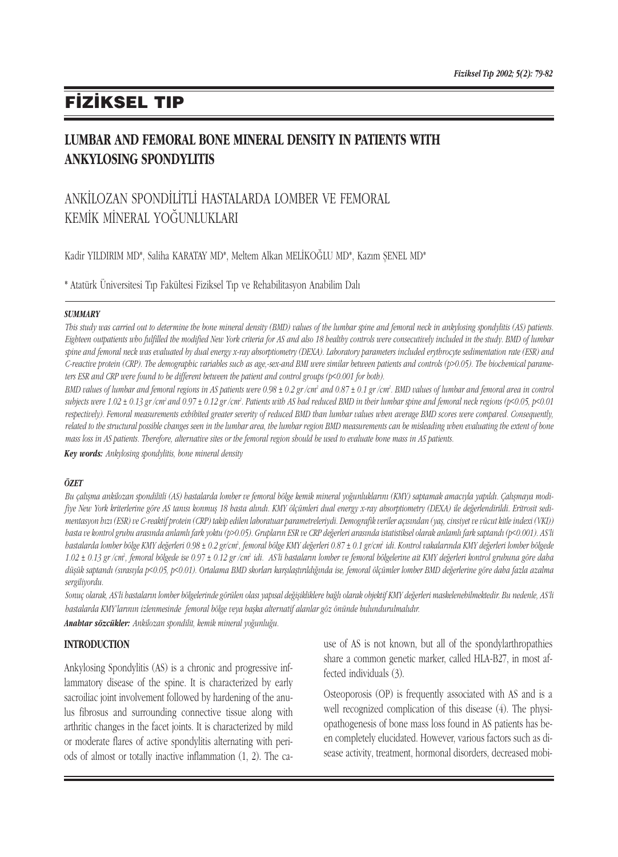# **FIZIKSEL TIP**

### LUMBAR AND FEMORAL BONE MINERAL DENSITY IN PATIENTS WITH ANKYLOSING SPONDYLITIS

## ANKİLOZAN SPONDİLİTLİ HASTALARDA LOMBER VE FEMORAL KEMİK MİNERAL YOĞUNLUKLARI

Kadir YILDIRIM MD\*, Saliha KARATAY MD\*, Meltem Alkan MELİKOĞLU MD\*, Kazım ŞENEL MD\*

\* Atatürk Üniversitesi T›p Fakültesi Fiziksel T›p ve Rehabilitasyon Anabilim Dal›

#### **SUMMARY**

This study was carried out to determine the bone mineral density (BMD) values of the lumbar spine and femoral neck in ankylosing spondylitis (AS) patients. Eighteen outpatients who fulfilled the modified New York criteria for AS and also 18 healthy controls were consecutively included in the study. BMD of lumbar spine and femoral neck was evaluated by dual energy x-ray absorptiometry (DEXA). Laboratory parameters included erythrocyte sedimentation rate (ESR) and C-reactive protein (CRP). The demographic variables such as age,-sex-and BMI were similar between patients and controls (p>0.05). The biochemical parameters ESR and CRP were found to be different between the patient and control groups (p<0.001 for both).

BMD values of lumbar and femoral regions in AS patients were 0.98 ± 0.2 gr /cm<sup>2</sup> and 0.87 ± 0.1 gr /cm<sup>2</sup>. BMD values of lumbar and femoral area in controi subjects were 1.02 ± 0.13 gr/cm<sup>2</sup> and 0.97 ± 0.12 gr/cm<sup>2</sup>. Patients with AS had reduced BMD in their lumbar spine and femoral neck regions (p<0.05, p<0.01 respectively). Femoral measurements exhibited greater severity of reduced BMD than lumbar values when average BMD scores were compared. Consequently, related to the structural possible changes seen in the lumbar area, the lumbar region BMD measurements can be misleading when evaluating the extent of bone mass loss in AS patients. Therefore, alternative sites or the femoral region should be used to evaluate bone mass in AS patients.

Key words: Ankylosing spondylitis, bone mineral density

#### ÖZET

Bu çalışma ankilozan spondilitli (AS) hastalarda lomber ve femoral bölge kemik mineral yoğunluklarını (KMY) saptamak amacıyla yapıldı. Çalışmaya modifiye New York kriterlerine göre AS tanısı konmuş 18 hasta alındı. KMY ölçümleri dual energy x-ray absorptiometry (DEXA) ile değerlendirildi. Eritrosit sedimentasyon hızı (ESR) ve C-reaktif protein (CRP) takip edilen laboratuar parametreleriydi. Demografik veriler açısından (yaş, cinsiyet ve vücut kitle indexi (VKI)) hasta ve kontrol grubu arasında anlamlı fark yoktu (p>0.05). Grupların ESR ve CRP değerleri arasında istatistiksel olarak anlamlı fark saptandı (p<0.001). AS'li bastalarda lomber bölge KMY değerleri 0.98 ± 0.2 gr/cm<sup>2</sup>, femoral bölge KMY değerleri 0.87 ± 0.1 gr/cm<sup>2</sup> idi. Kontrol vakalarında KMY değerleri lomber bölgede 1.02 ± 0.13 gr /cm<sup>2</sup>, femoral bölgede ise 0.97 ± 0.12 gr /cm<sup>2</sup> idi. AS'li hastaların lomber ve femoral bölgelerine ait KMY değerleri kontrol grubuna göre daha düşük saptandı (sırasıyla p<0.05, p<0.01). Ortalama BMD skorları karşılaştırıldığında ise, femoral ölçümler lomber BMD değerlerine göre daha fazla azalma sergiliyordu.

Sonuç olarak, AS'li hastaların lomber bölgelerinde görülen olası yapısal değişikliklere bağlı olarak objektif KMY değerleri maskelenebilmektedir. Bu nedenle, AS'li hastalarda KMY'larının izlenmesinde femoral bölge veya başka alternatif alanlar göz önünde bulundurulmalıdır. Anabtar sözcükler: Ankilozan spondilit, kemik mineral yoğunluğu.

#### **INTRODUCTION**

Ankylosing Spondylitis (AS) is a chronic and progressive inflammatory disease of the spine. It is characterized by early sacroiliac joint involvement followed by hardening of the anulus fibrosus and surrounding connective tissue along with arthritic changes in the facet joints. It is characterized by mild or moderate flares of active spondylitis alternating with periods of almost or totally inactive inflammation (1, 2). The cause of AS is not known, but all of the spondylarthropathies share a common genetic marker, called HLA-B27, in most affected individuals (3).

Osteoporosis (OP) is frequently associated with AS and is a well recognized complication of this disease (4). The physiopathogenesis of bone mass loss found in AS patients has been completely elucidated. However, various factors such as disease activity, treatment, hormonal disorders, decreased mobi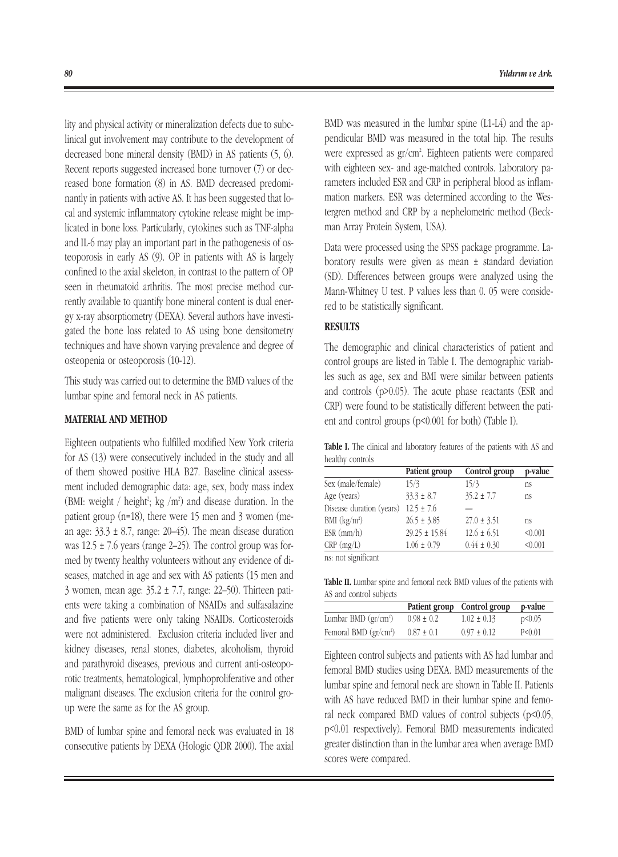lity and physical activity or mineralization defects due to subclinical gut involvement may contribute to the development of decreased bone mineral density (BMD) in AS patients (5, 6). Recent reports suggested increased bone turnover (7) or decreased bone formation (8) in AS. BMD decreased predominantly in patients with active AS. It has been suggested that local and systemic inflammatory cytokine release might be implicated in bone loss. Particularly, cytokines such as TNF-alpha and IL-6 may play an important part in the pathogenesis of osteoporosis in early AS (9). OP in patients with AS is largely confined to the axial skeleton, in contrast to the pattern of OP seen in rheumatoid arthritis. The most precise method currently available to quantify bone mineral content is dual energy x-ray absorptiometry (DEXA). Several authors have investigated the bone loss related to AS using bone densitometry techniques and have shown varying prevalence and degree of osteopenia or osteoporosis (10-12).

This study was carried out to determine the BMD values of the lumbar spine and femoral neck in AS patients.

#### MATERIAL AND METHOD

Eighteen outpatients who fulfilled modified New York criteria for AS (13) were consecutively included in the study and all of them showed positive HLA B27. Baseline clinical assessment included demographic data: age, sex, body mass index (BMI: weight / height<sup>2</sup>; kg /m<sup>2</sup>) and disease duration. In the patient group (n=18), there were 15 men and 3 women (mean age:  $33.3 \pm 8.7$ , range: 20–45). The mean disease duration was  $12.5 \pm 7.6$  years (range 2–25). The control group was formed by twenty healthy volunteers without any evidence of diseases, matched in age and sex with AS patients (15 men and 3 women, mean age: 35.2 ± 7.7, range: 22–50). Thirteen patients were taking a combination of NSAIDs and sulfasalazine and five patients were only taking NSAIDs. Corticosteroids were not administered. Exclusion criteria included liver and kidney diseases, renal stones, diabetes, alcoholism, thyroid and parathyroid diseases, previous and current anti-osteoporotic treatments, hematological, lymphoproliferative and other malignant diseases. The exclusion criteria for the control group were the same as for the AS group.

BMD of lumbar spine and femoral neck was evaluated in 18 consecutive patients by DEXA (Hologic QDR 2000). The axial BMD was measured in the lumbar spine (L1-L4) and the appendicular BMD was measured in the total hip. The results were expressed as gr/cm<sup>2</sup>. Eighteen patients were compared with eighteen sex- and age-matched controls. Laboratory parameters included ESR and CRP in peripheral blood as inflammation markers. ESR was determined according to the Westergren method and CRP by a nephelometric method (Beckman Array Protein System, USA).

Data were processed using the SPSS package programme. Laboratory results were given as mean ± standard deviation (SD). Differences between groups were analyzed using the Mann-Whitney U test. P values less than 0. 05 were considered to be statistically significant.

#### **RESULTS**

The demographic and clinical characteristics of patient and control groups are listed in Table I. The demographic variables such as age, sex and BMI were similar between patients and controls (p>0.05). The acute phase reactants (ESR and CRP) were found to be statistically different between the patient and control groups (p<0.001 for both) (Table I).

Table I. The clinical and laboratory features of the patients with AS and healthy controls

|                                     | Patient group     | Control group   | p-value |
|-------------------------------------|-------------------|-----------------|---------|
| Sex (male/female)                   | 15/3              | 15/3            | ns      |
| Age (years)                         | $33.3 \pm 8.7$    | $35.2 \pm 7.7$  | ns      |
| Disease duration (years)            | $12.5 \pm 7.6$    |                 |         |
| BMI $(kg/m2)$                       | $26.5 \pm 3.85$   | $27.0 \pm 3.51$ | ns      |
| $ESR$ (mm/h)                        | $29.25 \pm 15.84$ | $12.6 \pm 6.51$ | < 0.001 |
| $CRP$ (mg/L)                        | $1.06 \pm 0.79$   | $0.44 \pm 0.30$ | < 0.001 |
| and the contract of the contract of |                   |                 |         |

ns: not significant

Table II. Lumbar spine and femoral neck BMD values of the patients with AS and control subjects

|                                            |                | Patient group Control group | p-value  |
|--------------------------------------------|----------------|-----------------------------|----------|
| Lumbar BMD $gr/cm^2$                       | $0.98 \pm 0.2$ | $1.02 \pm 0.13$             | p<0.05   |
| Femoral BMD $\left(\frac{gr}{cm^2}\right)$ | $0.87 \pm 0.1$ | $0.97 \pm 0.12$             | P < 0.01 |

Eighteen control subjects and patients with AS had lumbar and femoral BMD studies using DEXA. BMD measurements of the lumbar spine and femoral neck are shown in Table II. Patients with AS have reduced BMD in their lumbar spine and femoral neck compared BMD values of control subjects (p<0.05, p<0.01 respectively). Femoral BMD measurements indicated greater distinction than in the lumbar area when average BMD scores were compared.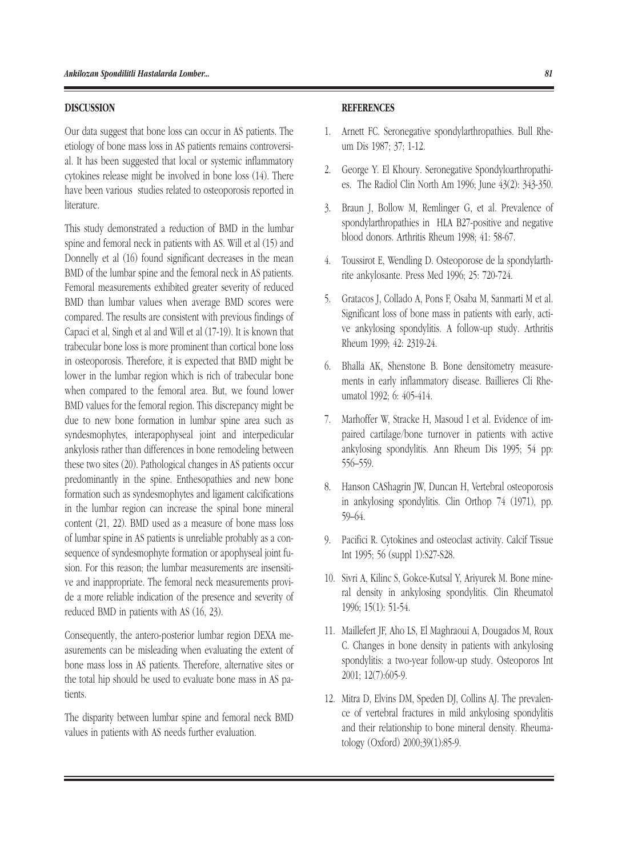#### DISCUSSION

Our data suggest that bone loss can occur in AS patients. The etiology of bone mass loss in AS patients remains controversial. It has been suggested that local or systemic inflammatory cytokines release might be involved in bone loss (14). There have been various studies related to osteoporosis reported in literature.

This study demonstrated a reduction of BMD in the lumbar spine and femoral neck in patients with AS. Will et al (15) and Donnelly et al (16) found significant decreases in the mean BMD of the lumbar spine and the femoral neck in AS patients. Femoral measurements exhibited greater severity of reduced BMD than lumbar values when average BMD scores were compared. The results are consistent with previous findings of Capaci et al, Singh et al and Will et al (17-19). It is known that trabecular bone loss is more prominent than cortical bone loss in osteoporosis. Therefore, it is expected that BMD might be lower in the lumbar region which is rich of trabecular bone when compared to the femoral area. But, we found lower BMD values for the femoral region. This discrepancy might be due to new bone formation in lumbar spine area such as syndesmophytes, interapophyseal joint and interpedicular ankylosis rather than differences in bone remodeling between these two sites (20). Pathological changes in AS patients occur predominantly in the spine. Enthesopathies and new bone formation such as syndesmophytes and ligament calcifications in the lumbar region can increase the spinal bone mineral content (21, 22). BMD used as a measure of bone mass loss of lumbar spine in AS patients is unreliable probably as a consequence of syndesmophyte formation or apophyseal joint fusion. For this reason; the lumbar measurements are insensitive and inappropriate. The femoral neck measurements provide a more reliable indication of the presence and severity of reduced BMD in patients with AS (16, 23).

Consequently, the antero-posterior lumbar region DEXA measurements can be misleading when evaluating the extent of bone mass loss in AS patients. Therefore, alternative sites or the total hip should be used to evaluate bone mass in AS patients.

The disparity between lumbar spine and femoral neck BMD values in patients with AS needs further evaluation.

#### **REFERENCES**

- 1. Arnett FC. Seronegative spondylarthropathies. Bull Rheum Dis 1987; 37; 1-12.
- 2. George Y. El Khoury. Seronegative Spondyloarthropathies. The Radiol Clin North Am 1996; June 43(2): 343-350.
- 3. Braun J, Bollow M, Remlinger G, et al. Prevalence of spondylarthropathies in HLA B27-positive and negative blood donors. Arthritis Rheum 1998; 41: 58-67.
- 4. Toussirot E, Wendling D. Osteoporose de la spondylarthrite ankylosante. Press Med 1996; 25: 720-724.
- 5. Gratacos J, Collado A, Pons F, Osaba M, Sanmarti M et al. Significant loss of bone mass in patients with early, active ankylosing spondylitis. A follow-up study. Arthritis Rheum 1999; 42: 2319-24.
- 6. Bhalla AK, Shenstone B. Bone densitometry measurements in early inflammatory disease. Baillieres Cli Rheumatol 1992; 6: 405-414.
- 7. Marhoffer W, Stracke H, Masoud I et al. Evidence of impaired cartilage/bone turnover in patients with active ankylosing spondylitis. Ann Rheum Dis 1995; 54 pp: 556–559.
- 8. Hanson CAShagrin JW, Duncan H, Vertebral osteoporosis in ankylosing spondylitis. Clin Orthop 74 (1971), pp. 59–64.
- 9. Pacifici R. Cytokines and osteoclast activity. Calcif Tissue Int 1995; 56 (suppl 1):S27-S28.
- 10. Sivri A, Kilinc S, Gokce-Kutsal Y, Ariyurek M. Bone mineral density in ankylosing spondylitis. Clin Rheumatol 1996; 15(1): 51-54.
- 11. Maillefert JF, Aho LS, El Maghraoui A, Dougados M, Roux C. Changes in bone density in patients with ankylosing spondylitis: a two-year follow-up study. Osteoporos Int 2001; 12(7):605-9.
- 12. Mitra D, Elvins DM, Speden DJ, Collins AJ. The prevalence of vertebral fractures in mild ankylosing spondylitis and their relationship to bone mineral density. Rheumatology (Oxford) 2000;39(1):85-9.